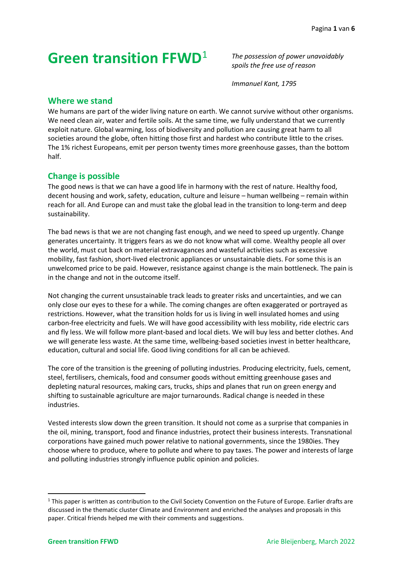# **Green transition FFWD**<sup>1</sup>

*The possession of power unavoidably spoils the free use of reason*

*Immanuel Kant, 1795*

# **Where we stand**

We humans are part of the wider living nature on earth. We cannot survive without other organisms. We need clean air, water and fertile soils. At the same time, we fully understand that we currently exploit nature. Global warming, loss of biodiversity and pollution are causing great harm to all societies around the globe, often hitting those first and hardest who contribute little to the crises. The 1% richest Europeans, emit per person twenty times more greenhouse gasses, than the bottom half.

# **Change is possible**

The good news is that we can have a good life in harmony with the rest of nature. Healthy food, decent housing and work, safety, education, culture and leisure – human wellbeing – remain within reach for all. And Europe can and must take the global lead in the transition to long-term and deep sustainability.

The bad news is that we are not changing fast enough, and we need to speed up urgently. Change generates uncertainty. It triggers fears as we do not know what will come. Wealthy people all over the world, must cut back on material extravagances and wasteful activities such as excessive mobility, fast fashion, short-lived electronic appliances or unsustainable diets. For some this is an unwelcomed price to be paid. However, resistance against change is the main bottleneck. The pain is in the change and not in the outcome itself.

Not changing the current unsustainable track leads to greater risks and uncertainties, and we can only close our eyes to these for a while. The coming changes are often exaggerated or portrayed as restrictions. However, what the transition holds for us is living in well insulated homes and using carbon-free electricity and fuels. We will have good accessibility with less mobility, ride electric cars and fly less. We will follow more plant-based and local diets. We will buy less and better clothes. And we will generate less waste. At the same time, wellbeing-based societies invest in better healthcare, education, cultural and social life. Good living conditions for all can be achieved.

The core of the transition is the greening of polluting industries. Producing electricity, fuels, cement, steel, fertilisers, chemicals, food and consumer goods without emitting greenhouse gases and depleting natural resources, making cars, trucks, ships and planes that run on green energy and shifting to sustainable agriculture are major turnarounds. Radical change is needed in these industries.

Vested interests slow down the green transition. It should not come as a surprise that companies in the oil, mining, transport, food and finance industries, protect their business interests. Transnational corporations have gained much power relative to national governments, since the 1980ies. They choose where to produce, where to pollute and where to pay taxes. The power and interests of large and polluting industries strongly influence public opinion and policies.

 $1$  This paper is written as contribution to the Civil Society Convention on the Future of Europe. Earlier drafts are discussed in the thematic cluster Climate and Environment and enriched the analyses and proposals in this paper. Critical friends helped me with their comments and suggestions.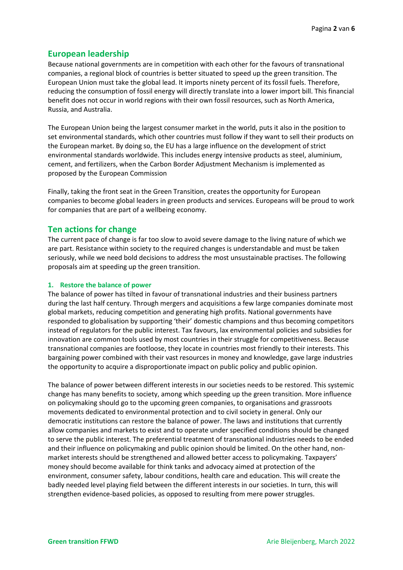# **European leadership**

Because national governments are in competition with each other for the favours of transnational companies, a regional block of countries is better situated to speed up the green transition. The European Union must take the global lead. It imports ninety percent of its fossil fuels. Therefore, reducing the consumption of fossil energy will directly translate into a lower import bill. This financial benefit does not occur in world regions with their own fossil resources, such as North America, Russia, and Australia.

The European Union being the largest consumer market in the world, puts it also in the position to set environmental standards, which other countries must follow if they want to sell their products on the European market. By doing so, the EU has a large influence on the development of strict environmental standards worldwide. This includes energy intensive products as steel, aluminium, cement, and fertilizers, when the Carbon Border Adjustment Mechanism is implemented as proposed by the European Commission

Finally, taking the front seat in the Green Transition, creates the opportunity for European companies to become global leaders in green products and services. Europeans will be proud to work for companies that are part of a wellbeing economy.

# **Ten actions for change**

The current pace of change is far too slow to avoid severe damage to the living nature of which we are part. Resistance within society to the required changes is understandable and must be taken seriously, while we need bold decisions to address the most unsustainable practises. The following proposals aim at speeding up the green transition.

## **1. Restore the balance of power**

The balance of power has tilted in favour of transnational industries and their business partners during the last half century. Through mergers and acquisitions a few large companies dominate most global markets, reducing competition and generating high profits. National governments have responded to globalisation by supporting 'their' domestic champions and thus becoming competitors instead of regulators for the public interest. Tax favours, lax environmental policies and subsidies for innovation are common tools used by most countries in their struggle for competitiveness. Because transnational companies are footloose, they locate in countries most friendly to their interests. This bargaining power combined with their vast resources in money and knowledge, gave large industries the opportunity to acquire a disproportionate impact on public policy and public opinion.

The balance of power between different interests in our societies needs to be restored. This systemic change has many benefits to society, among which speeding up the green transition. More influence on policymaking should go to the upcoming green companies, to organisations and grassroots movements dedicated to environmental protection and to civil society in general. Only our democratic institutions can restore the balance of power. The laws and institutions that currently allow companies and markets to exist and to operate under specified conditions should be changed to serve the public interest. The preferential treatment of transnational industries needs to be ended and their influence on policymaking and public opinion should be limited. On the other hand, nonmarket interests should be strengthened and allowed better access to policymaking. Taxpayers' money should become available for think tanks and advocacy aimed at protection of the environment, consumer safety, labour conditions, health care and education. This will create the badly needed level playing field between the different interests in our societies. In turn, this will strengthen evidence-based policies, as opposed to resulting from mere power struggles.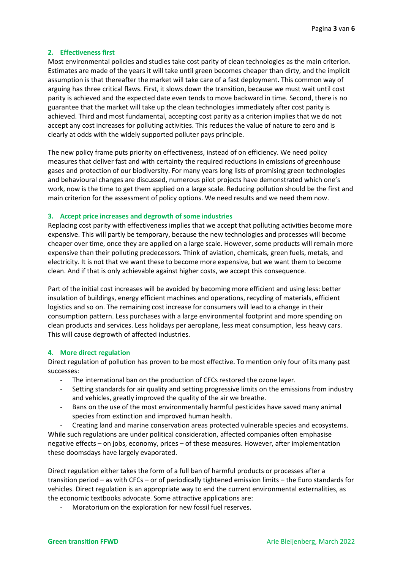## **2. Effectiveness first**

Most environmental policies and studies take cost parity of clean technologies as the main criterion. Estimates are made of the years it will take until green becomes cheaper than dirty, and the implicit assumption is that thereafter the market will take care of a fast deployment. This common way of arguing has three critical flaws. First, it slows down the transition, because we must wait until cost parity is achieved and the expected date even tends to move backward in time. Second, there is no guarantee that the market will take up the clean technologies immediately after cost parity is achieved. Third and most fundamental, accepting cost parity as a criterion implies that we do not accept any cost increases for polluting activities. This reduces the value of nature to zero and is clearly at odds with the widely supported polluter pays principle.

The new policy frame puts priority on effectiveness, instead of on efficiency. We need policy measures that deliver fast and with certainty the required reductions in emissions of greenhouse gases and protection of our biodiversity. For many years long lists of promising green technologies and behavioural changes are discussed, numerous pilot projects have demonstrated which one's work, now is the time to get them applied on a large scale. Reducing pollution should be the first and main criterion for the assessment of policy options. We need results and we need them now.

### **3. Accept price increases and degrowth of some industries**

Replacing cost parity with effectiveness implies that we accept that polluting activities become more expensive. This will partly be temporary, because the new technologies and processes will become cheaper over time, once they are applied on a large scale. However, some products will remain more expensive than their polluting predecessors. Think of aviation, chemicals, green fuels, metals, and electricity. It is not that we want these to become more expensive, but we want them to become clean. And if that is only achievable against higher costs, we accept this consequence.

Part of the initial cost increases will be avoided by becoming more efficient and using less: better insulation of buildings, energy efficient machines and operations, recycling of materials, efficient logistics and so on. The remaining cost increase for consumers will lead to a change in their consumption pattern. Less purchases with a large environmental footprint and more spending on clean products and services. Less holidays per aeroplane, less meat consumption, less heavy cars. This will cause degrowth of affected industries.

### **4. More direct regulation**

Direct regulation of pollution has proven to be most effective. To mention only four of its many past successes:

- The international ban on the production of CFCs restored the ozone layer.
- Setting standards for air quality and setting progressive limits on the emissions from industry and vehicles, greatly improved the quality of the air we breathe.
- Bans on the use of the most environmentally harmful pesticides have saved many animal species from extinction and improved human health.

Creating land and marine conservation areas protected vulnerable species and ecosystems. While such regulations are under political consideration, affected companies often emphasise negative effects – on jobs, economy, prices – of these measures. However, after implementation these doomsdays have largely evaporated.

Direct regulation either takes the form of a full ban of harmful products or processes after a transition period – as with CFCs – or of periodically tightened emission limits – the Euro standards for vehicles. Direct regulation is an appropriate way to end the current environmental externalities, as the economic textbooks advocate. Some attractive applications are:

Moratorium on the exploration for new fossil fuel reserves.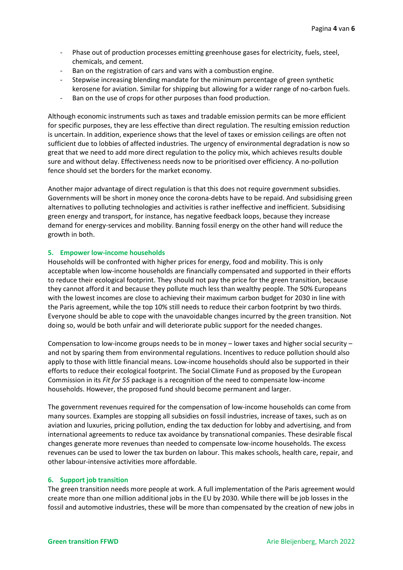- Phase out of production processes emitting greenhouse gases for electricity, fuels, steel, chemicals, and cement.
- Ban on the registration of cars and vans with a combustion engine.
- Stepwise increasing blending mandate for the minimum percentage of green synthetic kerosene for aviation. Similar for shipping but allowing for a wider range of no-carbon fuels.
- Ban on the use of crops for other purposes than food production.

Although economic instruments such as taxes and tradable emission permits can be more efficient for specific purposes, they are less effective than direct regulation. The resulting emission reduction is uncertain. In addition, experience shows that the level of taxes or emission ceilings are often not sufficient due to lobbies of affected industries. The urgency of environmental degradation is now so great that we need to add more direct regulation to the policy mix, which achieves results double sure and without delay. Effectiveness needs now to be prioritised over efficiency. A no-pollution fence should set the borders for the market economy.

Another major advantage of direct regulation is that this does not require government subsidies. Governments will be short in money once the corona-debts have to be repaid. And subsidising green alternatives to polluting technologies and activities is rather ineffective and inefficient. Subsidising green energy and transport, for instance, has negative feedback loops, because they increase demand for energy-services and mobility. Banning fossil energy on the other hand will reduce the growth in both.

# **5. Empower low-income households**

Households will be confronted with higher prices for energy, food and mobility. This is only acceptable when low-income households are financially compensated and supported in their efforts to reduce their ecological footprint. They should not pay the price for the green transition, because they cannot afford it and because they pollute much less than wealthy people. The 50% Europeans with the lowest incomes are close to achieving their maximum carbon budget for 2030 in line with the Paris agreement, while the top 10% still needs to reduce their carbon footprint by two thirds. Everyone should be able to cope with the unavoidable changes incurred by the green transition. Not doing so, would be both unfair and will deteriorate public support for the needed changes.

Compensation to low-income groups needs to be in money – lower taxes and higher social security – and not by sparing them from environmental regulations. Incentives to reduce pollution should also apply to those with little financial means. Low-income households should also be supported in their efforts to reduce their ecological footprint. The Social Climate Fund as proposed by the European Commission in its *Fit for 55* package is a recognition of the need to compensate low-income households. However, the proposed fund should become permanent and larger.

The government revenues required for the compensation of low-income households can come from many sources. Examples are stopping all subsidies on fossil industries, increase of taxes, such as on aviation and luxuries, pricing pollution, ending the tax deduction for lobby and advertising, and from international agreements to reduce tax avoidance by transnational companies. These desirable fiscal changes generate more revenues than needed to compensate low-income households. The excess revenues can be used to lower the tax burden on labour. This makes schools, health care, repair, and other labour-intensive activities more affordable.

# **6. Support job transition**

The green transition needs more people at work. A full implementation of the Paris agreement would create more than one million additional jobs in the EU by 2030. While there will be job losses in the fossil and automotive industries, these will be more than compensated by the creation of new jobs in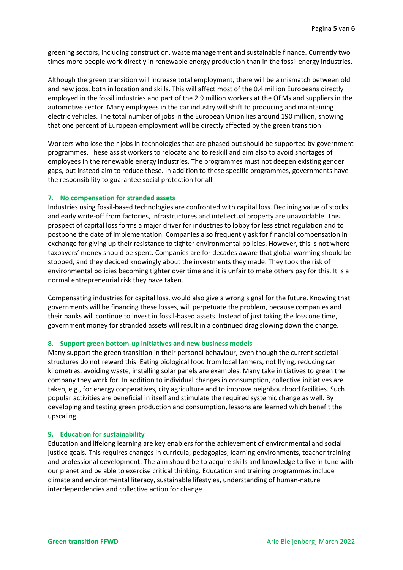greening sectors, including construction, waste management and sustainable finance. Currently two times more people work directly in renewable energy production than in the fossil energy industries.

Although the green transition will increase total employment, there will be a mismatch between old and new jobs, both in location and skills. This will affect most of the 0.4 million Europeans directly employed in the fossil industries and part of the 2.9 million workers at the OEMs and suppliers in the automotive sector. Many employees in the car industry will shift to producing and maintaining electric vehicles. The total number of jobs in the European Union lies around 190 million, showing that one percent of European employment will be directly affected by the green transition.

Workers who lose their jobs in technologies that are phased out should be supported by government programmes. These assist workers to relocate and to reskill and aim also to avoid shortages of employees in the renewable energy industries. The programmes must not deepen existing gender gaps, but instead aim to reduce these. In addition to these specific programmes, governments have the responsibility to guarantee social protection for all.

## **7. No compensation for stranded assets**

Industries using fossil-based technologies are confronted with capital loss. Declining value of stocks and early write-off from factories, infrastructures and intellectual property are unavoidable. This prospect of capital loss forms a major driver for industries to lobby for less strict regulation and to postpone the date of implementation. Companies also frequently ask for financial compensation in exchange for giving up their resistance to tighter environmental policies. However, this is not where taxpayers' money should be spent. Companies are for decades aware that global warming should be stopped, and they decided knowingly about the investments they made. They took the risk of environmental policies becoming tighter over time and it is unfair to make others pay for this. It is a normal entrepreneurial risk they have taken.

Compensating industries for capital loss, would also give a wrong signal for the future. Knowing that governments will be financing these losses, will perpetuate the problem, because companies and their banks will continue to invest in fossil-based assets. Instead of just taking the loss one time, government money for stranded assets will result in a continued drag slowing down the change.

### **8. Support green bottom-up initiatives and new business models**

Many support the green transition in their personal behaviour, even though the current societal structures do not reward this. Eating biological food from local farmers, not flying, reducing car kilometres, avoiding waste, installing solar panels are examples. Many take initiatives to green the company they work for. In addition to individual changes in consumption, collective initiatives are taken, e.g., for energy cooperatives, city agriculture and to improve neighbourhood facilities. Such popular activities are beneficial in itself and stimulate the required systemic change as well. By developing and testing green production and consumption, lessons are learned which benefit the upscaling.

### **9. Education for sustainability**

Education and lifelong learning are key enablers for the achievement of environmental and social justice goals. This requires changes in curricula, pedagogies, learning environments, teacher training and professional development. The aim should be to acquire skills and knowledge to live in tune with our planet and be able to exercise critical thinking. Education and training programmes include climate and environmental literacy, sustainable lifestyles, understanding of human-nature interdependencies and collective action for change.